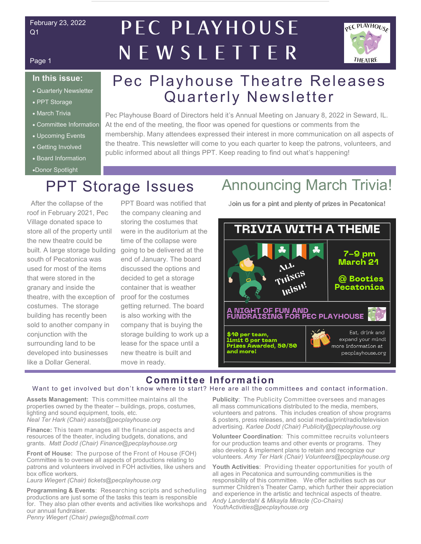#### February 23, 2022 Q1

## PEC PLAYHOUSE NEWSLETTER



#### Page 1

#### **In this issue:**

- Quarterly Newsletter
- PPT Storage
- March Trivia
- Committee Information
- Upcoming Events
- Getting Involved
- Board Information
- Donor Spotlight

## Pec Playhouse Theatre Releases Quarterly Newsletter

Pec Playhouse Board of Directors held it's Annual Meeting on January 8, 2022 in Seward, IL. At the end of the meeting, the floor was opened for questions or comments from the membership. Many attendees expressed their interest in more communication on all aspects of the theatre. This newsletter will come to you each quarter to keep the patrons, volunteers, and public informed about all things PPT. Keep reading to find out what's happening!

 After the collapse of the roof in February 2021, Pec Village donated space to store all of the property until the new theatre could be built. A large storage building south of Pecatonica was used for most of the items that were stored in the granary and inside the theatre, with the exception of costumes. The storage building has recently been sold to another company in conjunction with the surrounding land to be developed into businesses like a Dollar General.

PPT Board was notified that the company cleaning and storing the costumes that were in the auditorium at the time of the collapse were going to be delivered at the end of January. The board discussed the options and decided to get a storage container that is weather proof for the costumes getting returned. The board is also working with the company that is buying the storage building to work up a lease for the space until a new theatre is built and move in ready.

## PPT Storage Issues Announcing March Trivia!

J**oin us for a pint and plenty of prizes in Pecatonica!** 



## **Committee Information**

#### Want to get involved but don't know where to start? Here are all the committees and contact information.

**Assets Management:** This committee maintains all the properties owned by the theater – buildings, props, costumes, lighting and sound equipment, tools, etc. *Neal Ter Hark (Chair) assets@pecplayhouse.org*

**Finance:** This team manages all the financial aspects and resources of the theater, including budgets, donations, and grants. *Matt Dodd (Chair) Finance@pecplayhouse.org*

**Front of House:** The purpose of the Front of House (FOH) Committee is to oversee all aspects of productions relating to patrons and volunteers involved in FOH activities, like ushers and box office workers.

*Laura Wiegert (Chair) tickets@pecplayhouse.org*

**Programming & Events**: Researching scripts and scheduling productions are just some of the tasks this team is responsible for. They also plan other events and activities like workshops and our annual fundraiser.

*Penny Wiegert (Chair) pwiegs@hotmail.com*

**Publicity**: The Publicity Committee oversees and manages all mass communications distributed to the media, members, volunteers and patrons. This includes creation of show programs & posters, press releases, and social media/print/radio/television advertising. *Karlee Dodd (Chair) Publicity@pecplayhouse.org*

**Volunteer Coordination**: This committee recruits volunteers for our production teams and other events or programs. They also develop & implement plans to retain and recognize our volunteers. *Amy Ter Hark (Chair) Volunteers@pecplayhouse.org*

**Youth Activities**: Providing theater opportunities for youth of all ages in Pecatonica and surrounding communities is the responsibility of this committee. We offer activities such as our summer Children's Theater Camp, which further their appreciation and experience in the artistic and technical aspects of theatre. *Andy Landerdahl & Mikayla Miracle (Co-Chairs) YouthActivities@pecplayhouse.org*